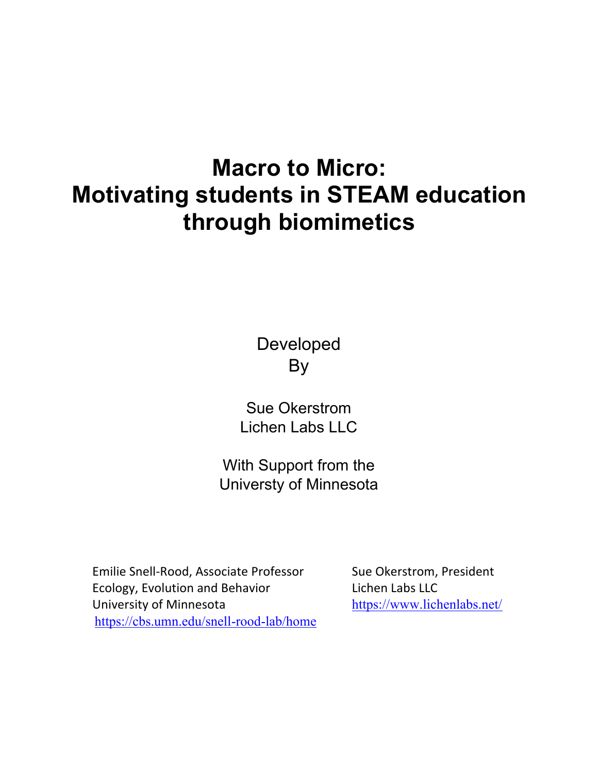## **Macro to Micro: Motivating students in STEAM education through biomimetics**

Developed By

Sue Okerstrom Lichen Labs LLC

With Support from the Universty of Minnesota

Emilie Snell-Rood, Associate Professor Sue Okerstrom, President Ecology, Evolution and Behavior **Lichen Labs LLC** University of Minnesota<br>
https://www.lichenlabs.net/ https://cbs.umn.edu/snell-rood-lab/home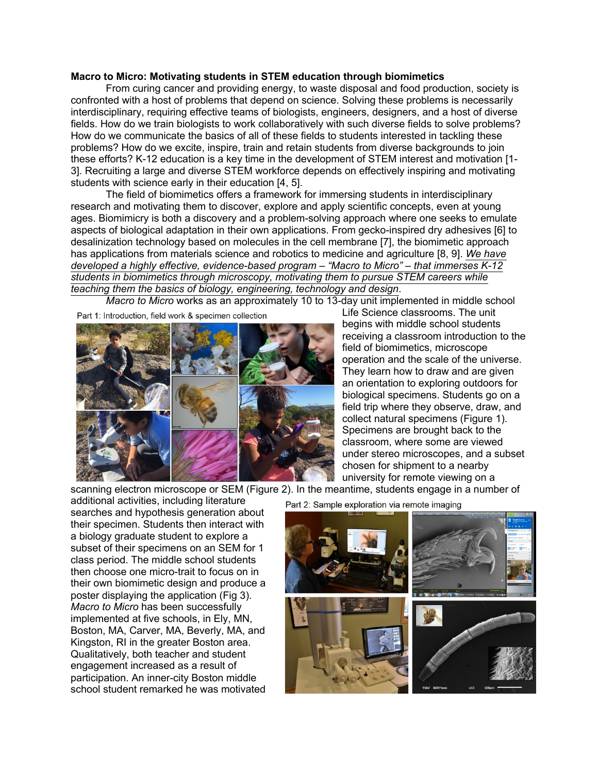## **Macro to Micro: Motivating students in STEM education through biomimetics**

From curing cancer and providing energy, to waste disposal and food production, society is confronted with a host of problems that depend on science. Solving these problems is necessarily interdisciplinary, requiring effective teams of biologists, engineers, designers, and a host of diverse fields. How do we train biologists to work collaboratively with such diverse fields to solve problems? How do we communicate the basics of all of these fields to students interested in tackling these problems? How do we excite, inspire, train and retain students from diverse backgrounds to join these efforts? K-12 education is a key time in the development of STEM interest and motivation [1- 3]. Recruiting a large and diverse STEM workforce depends on effectively inspiring and motivating students with science early in their education [4, 5].

The field of biomimetics offers a framework for immersing students in interdisciplinary research and motivating them to discover, explore and apply scientific concepts, even at young ages. Biomimicry is both a discovery and a problem-solving approach where one seeks to emulate aspects of biological adaptation in their own applications. From gecko-inspired dry adhesives [6] to desalinization technology based on molecules in the cell membrane [7], the biomimetic approach has applications from materials science and robotics to medicine and agriculture [8, 9]. *We have developed a highly effective, evidence-based program – "Macro to Micro" – that immerses K-12 students in biomimetics through microscopy, motivating them to pursue STEM careers while teaching them the basics of biology, engineering, technology and design*.

*Macro to Micro* works as an approximately 10 to 13-day unit implemented in middle school

Part 1: Introduction, field work & specimen collection



Life Science classrooms. The unit begins with middle school students receiving a classroom introduction to the field of biomimetics, microscope operation and the scale of the universe. They learn how to draw and are given an orientation to exploring outdoors for biological specimens. Students go on a field trip where they observe, draw, and collect natural specimens (Figure 1). Specimens are brought back to the classroom, where some are viewed under stereo microscopes, and a subset chosen for shipment to a nearby university for remote viewing on a

scanning electron microscope or SEM (Figure 2). In the meantime, students engage in a number of

additional activities, including literature searches and hypothesis generation about their specimen. Students then interact with a biology graduate student to explore a subset of their specimens on an SEM for 1 class period. The middle school students then choose one micro-trait to focus on in their own biomimetic design and produce a poster displaying the application (Fig 3). *Macro to Micro* has been successfully implemented at five schools, in Ely, MN, Boston, MA, Carver, MA, Beverly, MA, and Kingston, RI in the greater Boston area. Qualitatively, both teacher and student engagement increased as a result of participation. An inner-city Boston middle school student remarked he was motivated

Part 2: Sample exploration via remote imaging

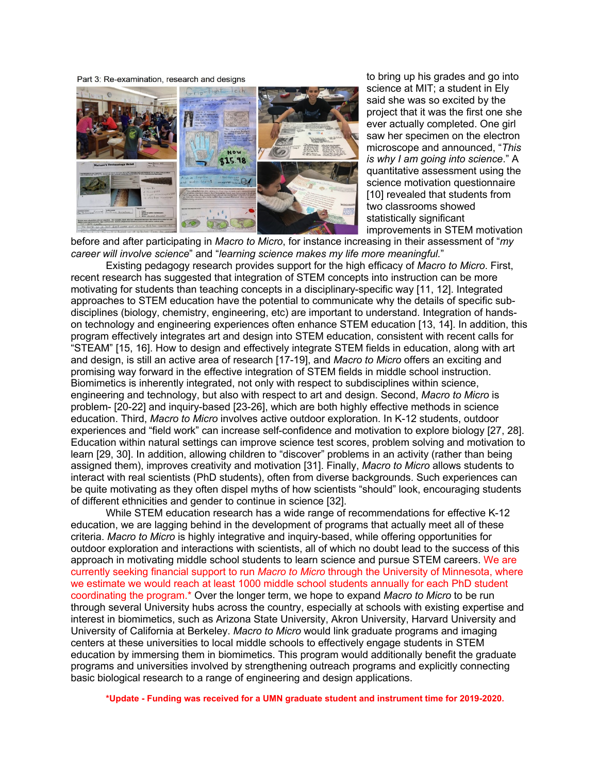Part 3: Re-examination, research and designs



to bring up his grades and go into science at MIT; a student in Ely said she was so excited by the project that it was the first one she ever actually completed. One girl saw her specimen on the electron microscope and announced, "*This is why I am going into science*." A quantitative assessment using the science motivation questionnaire [10] revealed that students from two classrooms showed statistically significant improvements in STEM motivation

before and after participating in *Macro to Micro*, for instance increasing in their assessment of "*my career will involve science*" and "*learning science makes my life more meaningful.*"

Existing pedagogy research provides support for the high efficacy of *Macro to Micro*. First, recent research has suggested that integration of STEM concepts into instruction can be more motivating for students than teaching concepts in a disciplinary-specific way [11, 12]. Integrated approaches to STEM education have the potential to communicate why the details of specific subdisciplines (biology, chemistry, engineering, etc) are important to understand. Integration of handson technology and engineering experiences often enhance STEM education [13, 14]. In addition, this program effectively integrates art and design into STEM education, consistent with recent calls for "STEAM" [15, 16]. How to design and effectively integrate STEM fields in education, along with art and design, is still an active area of research [17-19], and *Macro to Micro* offers an exciting and promising way forward in the effective integration of STEM fields in middle school instruction. Biomimetics is inherently integrated, not only with respect to subdisciplines within science, engineering and technology, but also with respect to art and design. Second, *Macro to Micro* is problem- [20-22] and inquiry-based [23-26], which are both highly effective methods in science education. Third, *Macro to Micro* involves active outdoor exploration. In K-12 students, outdoor experiences and "field work" can increase self-confidence and motivation to explore biology [27, 28]. Education within natural settings can improve science test scores, problem solving and motivation to learn [29, 30]. In addition, allowing children to "discover" problems in an activity (rather than being assigned them), improves creativity and motivation [31]. Finally, *Macro to Micro* allows students to interact with real scientists (PhD students), often from diverse backgrounds. Such experiences can be quite motivating as they often dispel myths of how scientists "should" look, encouraging students of different ethnicities and gender to continue in science [32].

While STEM education research has a wide range of recommendations for effective K-12 education, we are lagging behind in the development of programs that actually meet all of these criteria. *Macro to Micro* is highly integrative and inquiry-based, while offering opportunities for outdoor exploration and interactions with scientists, all of which no doubt lead to the success of this approach in motivating middle school students to learn science and pursue STEM careers. We are currently seeking financial support to run *Macro to Micro* through the University of Minnesota, where we estimate we would reach at least 1000 middle school students annually for each PhD student coordinating the program.\* Over the longer term, we hope to expand *Macro to Micro* to be run through several University hubs across the country, especially at schools with existing expertise and interest in biomimetics, such as Arizona State University, Akron University, Harvard University and University of California at Berkeley. *Macro to Micro* would link graduate programs and imaging centers at these universities to local middle schools to effectively engage students in STEM education by immersing them in biomimetics. This program would additionally benefit the graduate programs and universities involved by strengthening outreach programs and explicitly connecting basic biological research to a range of engineering and design applications.

**\*Update - Funding was received for a UMN graduate student and instrument time for 2019-2020.**